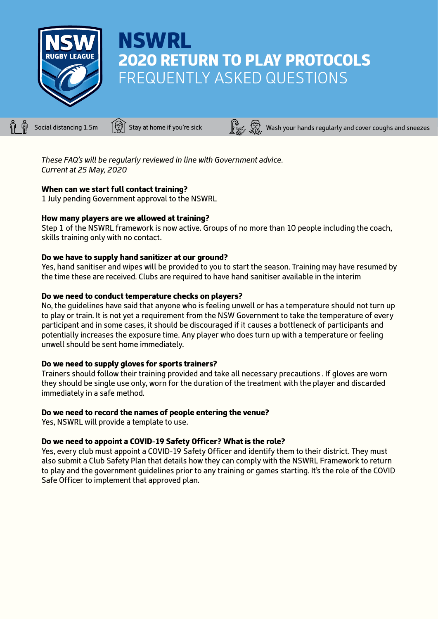

# NSWRL 2020 RETURN TO PLAY PROTOCOLS FREQUENTLY ASKED QUESTIONS

Social distancing 1.5m  $\bigcirc$  Stay at home if you're sick  $\bigcirc$   $\bigcirc$   $\bigcirc$  Wash your hands regularly and cover coughs and sneezes

*These FAQ's will be regularly reviewed in line with Government advice. Current at 25 May, 2020*

## When can we start full contact training?

1 July pending Government approval to the NSWRL

## How many players are we allowed at training?

Step 1 of the NSWRL framework is now active. Groups of no more than 10 people including the coach, skills training only with no contact.

## Do we have to supply hand sanitizer at our ground?

Yes, hand sanitiser and wipes will be provided to you to start the season. Training may have resumed by the time these are received. Clubs are required to have hand sanitiser available in the interim

## Do we need to conduct temperature checks on players?

No, the guidelines have said that anyone who is feeling unwell or has a temperature should not turn up to play or train. It is not yet a requirement from the NSW Government to take the temperature of every participant and in some cases, it should be discouraged if it causes a bottleneck of participants and potentially increases the exposure time. Any player who does turn up with a temperature or feeling unwell should be sent home immediately.

## Do we need to supply gloves for sports trainers?

Trainers should follow their training provided and take all necessary precautions . If gloves are worn they should be single use only, worn for the duration of the treatment with the player and discarded immediately in a safe method.

## Do we need to record the names of people entering the venue?

Yes, NSWRL will provide a template to use.

## Do we need to appoint a COVID-19 Safety Officer? What is the role?

Yes, every club must appoint a COVID-19 Safety Officer and identify them to their district. They must also submit a Club Safety Plan that details how they can comply with the NSWRL Framework to return to play and the government guidelines prior to any training or games starting. It's the role of the COVID Safe Officer to implement that approved plan.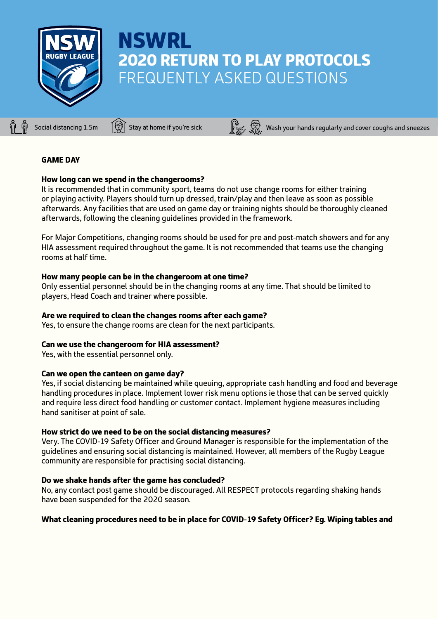

# **NSWRL** 2020 RETURN TO PLAY PROTOCOLS FREQUENTLY ASKED QUESTIONS

Social distancing 1.5m  $\bigcirc$  Stay at home if you're sick  $\bigcirc$   $\bigcirc$   $\bigcirc$  Wash your hands regularly and cover coughs and sneezes

# GAME DAY

## How long can we spend in the changerooms?

It is recommended that in community sport, teams do not use change rooms for either training or playing activity. Players should turn up dressed, train/play and then leave as soon as possible afterwards. Any facilities that are used on game day or training nights should be thoroughly cleaned afterwards, following the cleaning guidelines provided in the framework.

For Major Competitions, changing rooms should be used for pre and post-match showers and for any HIA assessment required throughout the game. It is not recommended that teams use the changing rooms at half time.

## How many people can be in the changeroom at one time?

Only essential personnel should be in the changing rooms at any time. That should be limited to players, Head Coach and trainer where possible.

# Are we required to clean the changes rooms after each game?

Yes, to ensure the change rooms are clean for the next participants.

## Can we use the changeroom for HIA assessment?

Yes, with the essential personnel only.

## Can we open the canteen on game day?

Yes, if social distancing be maintained while queuing, appropriate cash handling and food and beverage handling procedures in place. Implement lower risk menu options ie those that can be served quickly and require less direct food handling or customer contact. Implement hygiene measures including hand sanitiser at point of sale.

## How strict do we need to be on the social distancing measures?

Very. The COVID-19 Safety Officer and Ground Manager is responsible for the implementation of the guidelines and ensuring social distancing is maintained. However, all members of the Rugby League community are responsible for practising social distancing.

## Do we shake hands after the game has concluded?

No, any contact post game should be discouraged. All RESPECT protocols regarding shaking hands have been suspended for the 2020 season.

# What cleaning procedures need to be in place for COVID-19 Safety Officer? Eg. Wiping tables and